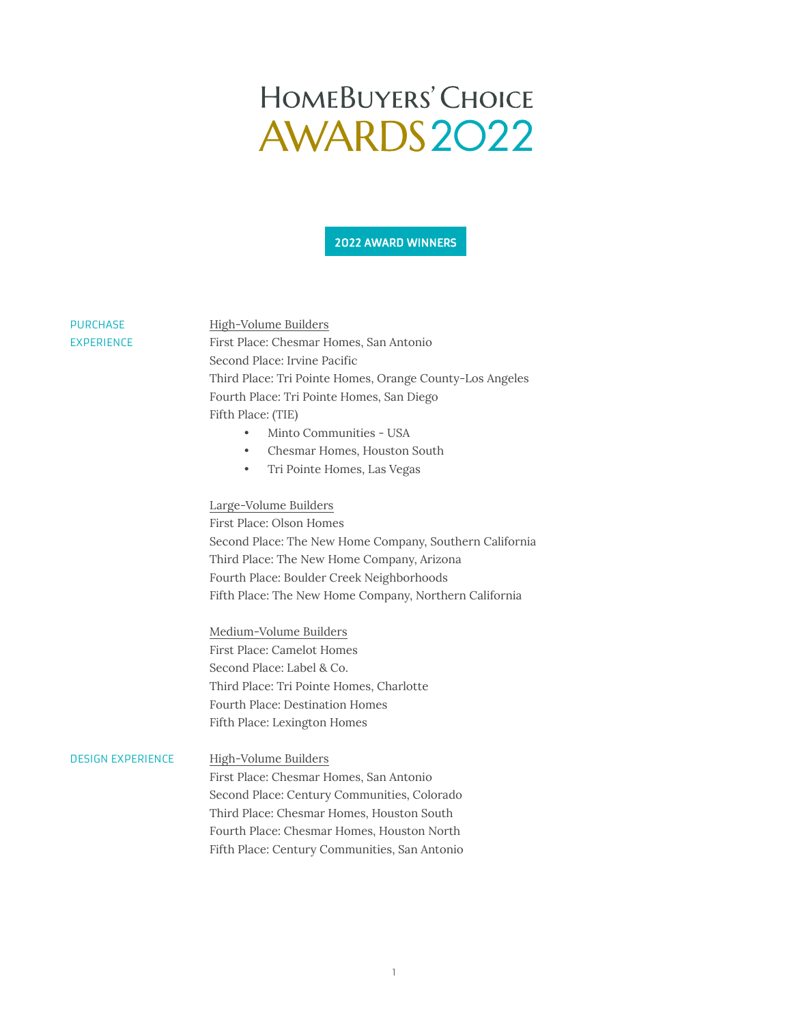2022 AWARD WINNERS

#### PURCHASE EXPERIENCE

High-Volume Builders First Place: Chesmar Homes, San Antonio Second Place: Irvine Pacific Third Place: Tri Pointe Homes, Orange County-Los Angeles Fourth Place: Tri Pointe Homes, San Diego Fifth Place: (TIE)

- Minto Communities USA
- Chesmar Homes, Houston South
- Tri Pointe Homes, Las Vegas

#### Large-Volume Builders

First Place: Olson Homes Second Place: The New Home Company, Southern California Third Place: The New Home Company, Arizona Fourth Place: Boulder Creek Neighborhoods Fifth Place: The New Home Company, Northern California

Medium-Volume Builders First Place: Camelot Homes Second Place: Label & Co. Third Place: Tri Pointe Homes, Charlotte Fourth Place: Destination Homes Fifth Place: Lexington Homes

#### High-Volume Builders DESIGN EXPERIENCE

First Place: Chesmar Homes, San Antonio Second Place: Century Communities, Colorado Third Place: Chesmar Homes, Houston South Fourth Place: Chesmar Homes, Houston North Fifth Place: Century Communities, San Antonio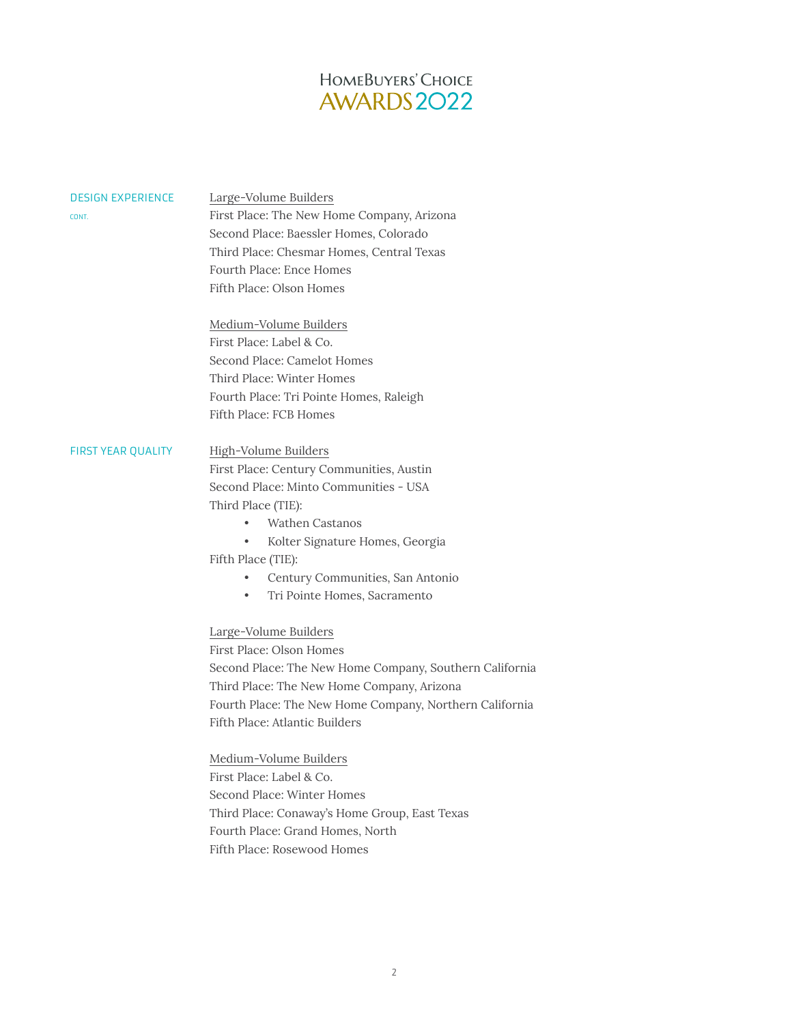| <b>DESIGN EXPERIENCE</b><br>CONT. | Large-Volume Builders<br>First Place: The New Home Company, Arizona<br>Second Place: Baessler Homes, Colorado<br>Third Place: Chesmar Homes, Central Texas<br>Fourth Place: Ence Homes                                                                                                                        |
|-----------------------------------|---------------------------------------------------------------------------------------------------------------------------------------------------------------------------------------------------------------------------------------------------------------------------------------------------------------|
|                                   | Fifth Place: Olson Homes<br>Medium-Volume Builders<br>First Place: Label & Co.<br>Second Place: Camelot Homes<br>Third Place: Winter Homes<br>Fourth Place: Tri Pointe Homes, Raleigh<br>Fifth Place: FCB Homes                                                                                               |
| <b>FIRST YEAR QUALITY</b>         | High-Volume Builders<br>First Place: Century Communities, Austin<br>Second Place: Minto Communities - USA<br>Third Place (TIE):<br>Wathen Castanos<br>Kolter Signature Homes, Georgia<br>Fifth Place (TIE):<br>Century Communities, San Antonio<br>Tri Pointe Homes, Sacramento                               |
|                                   | Large-Volume Builders<br>First Place: Olson Homes<br>Second Place: The New Home Company, Southern California<br>Third Place: The New Home Company, Arizona<br>Fourth Place: The New Home Company, Northern California<br>Fifth Place: Atlantic Builders<br>Medium-Volume Builders<br>First Place: Label & Co. |

Second Place: Winter Homes Third Place: Conaway's Home Group, East Texas Fourth Place: Grand Homes, North Fifth Place: Rosewood Homes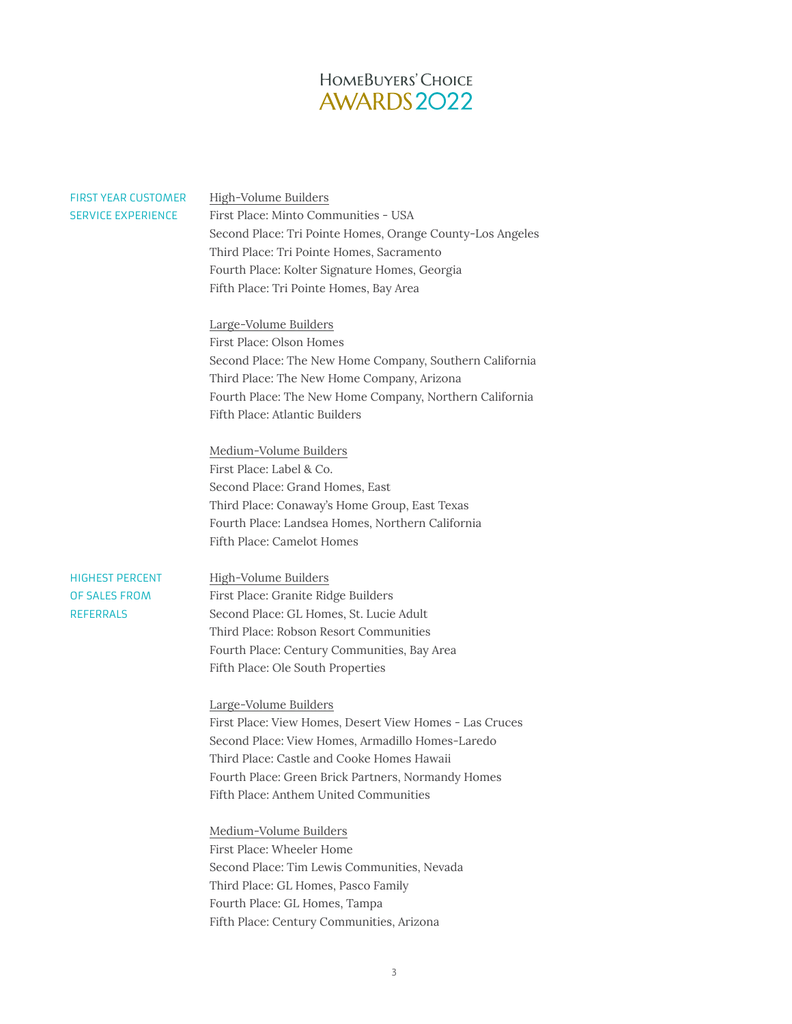| <b>FIRST YEAR CUSTOMER</b><br><b>SERVICE EXPERIENCE</b>     | High-Volume Builders<br>First Place: Minto Communities - USA<br>Second Place: Tri Pointe Homes, Orange County-Los Angeles<br>Third Place: Tri Pointe Homes, Sacramento<br>Fourth Place: Kolter Signature Homes, Georgia<br>Fifth Place: Tri Pointe Homes, Bay Area                 |
|-------------------------------------------------------------|------------------------------------------------------------------------------------------------------------------------------------------------------------------------------------------------------------------------------------------------------------------------------------|
|                                                             | Large-Volume Builders<br>First Place: Olson Homes<br>Second Place: The New Home Company, Southern California<br>Third Place: The New Home Company, Arizona<br>Fourth Place: The New Home Company, Northern California<br>Fifth Place: Atlantic Builders                            |
|                                                             | Medium-Volume Builders<br>First Place: Label & Co.<br>Second Place: Grand Homes, East<br>Third Place: Conaway's Home Group, East Texas<br>Fourth Place: Landsea Homes, Northern California<br>Fifth Place: Camelot Homes                                                           |
| <b>HIGHEST PERCENT</b><br>OF SALES FROM<br><b>REFERRALS</b> | High-Volume Builders<br>First Place: Granite Ridge Builders<br>Second Place: GL Homes, St. Lucie Adult<br>Third Place: Robson Resort Communities<br>Fourth Place: Century Communities, Bay Area<br>Fifth Place: Ole South Properties                                               |
|                                                             | Large-Volume Builders<br>First Place: View Homes, Desert View Homes - Las Cruces<br>Second Place: View Homes, Armadillo Homes-Laredo<br>Third Place: Castle and Cooke Homes Hawaii<br>Fourth Place: Green Brick Partners, Normandy Homes<br>Fifth Place: Anthem United Communities |
|                                                             | Medium-Volume Builders<br>First Place: Wheeler Home<br>Second Place: Tim Lewis Communities, Nevada<br>Third Place: GL Homes, Pasco Family<br>Fourth Place: GL Homes, Tampa<br>Fifth Place: Century Communities, Arizona                                                            |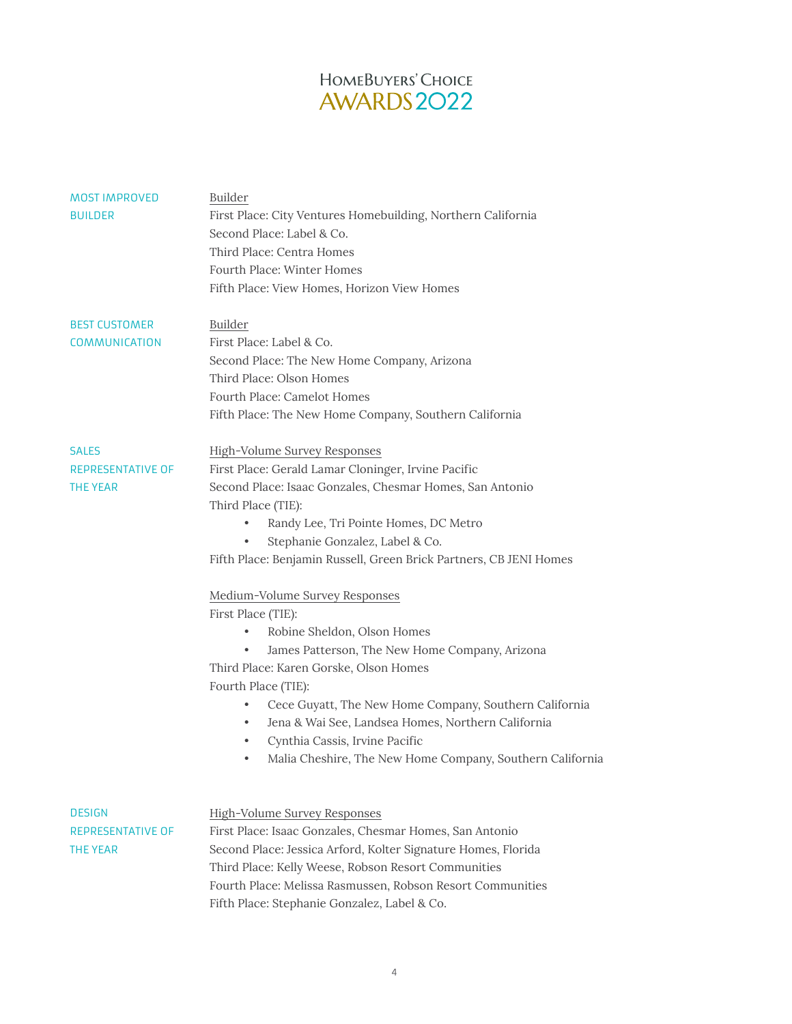| <b>MOST IMPROVED</b><br><b>BUILDER</b>                | <b>Builder</b><br>First Place: City Ventures Homebuilding, Northern California<br>Second Place: Label & Co.<br>Third Place: Centra Homes<br>Fourth Place: Winter Homes<br>Fifth Place: View Homes, Horizon View Homes                                                                                                                                                                                                                                                                                                                                                                                                                                                                                                                                                                                         |
|-------------------------------------------------------|---------------------------------------------------------------------------------------------------------------------------------------------------------------------------------------------------------------------------------------------------------------------------------------------------------------------------------------------------------------------------------------------------------------------------------------------------------------------------------------------------------------------------------------------------------------------------------------------------------------------------------------------------------------------------------------------------------------------------------------------------------------------------------------------------------------|
| <b>BEST CUSTOMER</b><br>COMMUNICATION                 | <b>Builder</b><br>First Place: Label & Co.<br>Second Place: The New Home Company, Arizona<br>Third Place: Olson Homes<br>Fourth Place: Camelot Homes<br>Fifth Place: The New Home Company, Southern California                                                                                                                                                                                                                                                                                                                                                                                                                                                                                                                                                                                                |
| <b>SALES</b><br>REPRESENTATIVE OF<br>THE YEAR         | <b>High-Volume Survey Responses</b><br>First Place: Gerald Lamar Cloninger, Irvine Pacific<br>Second Place: Isaac Gonzales, Chesmar Homes, San Antonio<br>Third Place (TIE):<br>Randy Lee, Tri Pointe Homes, DC Metro<br>Stephanie Gonzalez, Label & Co.<br>Fifth Place: Benjamin Russell, Green Brick Partners, CB JENI Homes<br>Medium-Volume Survey Responses<br>First Place (TIE):<br>Robine Sheldon, Olson Homes<br>٠<br>James Patterson, The New Home Company, Arizona<br>$\bullet$<br>Third Place: Karen Gorske, Olson Homes<br>Fourth Place (TIE):<br>Cece Guyatt, The New Home Company, Southern California<br>٠<br>Jena & Wai See, Landsea Homes, Northern California<br>٠<br>Cynthia Cassis, Irvine Pacific<br>$\bullet$<br>Malia Cheshire, The New Home Company, Southern California<br>$\bullet$ |
| <b>DESIGN</b><br>REPRESENTATIVE OF<br><b>THE YEAR</b> | <b>High-Volume Survey Responses</b><br>First Place: Isaac Gonzales, Chesmar Homes, San Antonio<br>Second Place: Jessica Arford, Kolter Signature Homes, Florida<br>Third Place: Kelly Weese, Robson Resort Communities                                                                                                                                                                                                                                                                                                                                                                                                                                                                                                                                                                                        |

Fourth Place: Melissa Rasmussen, Robson Resort Communities

Fifth Place: Stephanie Gonzalez, Label & Co.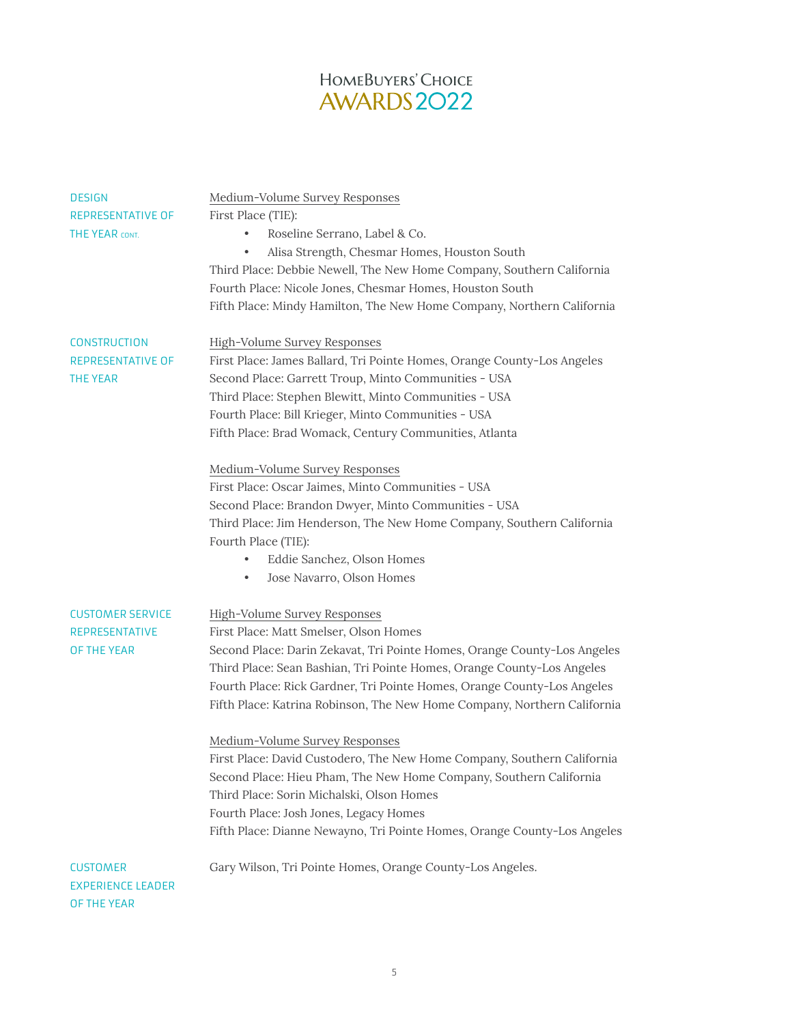| <b>DESIGN</b>            | Medium-Volume Survey Responses                                           |
|--------------------------|--------------------------------------------------------------------------|
| REPRESENTATIVE OF        | First Place (TIE):                                                       |
| THE YEAR CONT.           | Roseline Serrano, Label & Co.<br>$\bullet$                               |
|                          | Alisa Strength, Chesmar Homes, Houston South<br>$\bullet$                |
|                          | Third Place: Debbie Newell, The New Home Company, Southern California    |
|                          | Fourth Place: Nicole Jones, Chesmar Homes, Houston South                 |
|                          | Fifth Place: Mindy Hamilton, The New Home Company, Northern California   |
|                          |                                                                          |
| <b>CONSTRUCTION</b>      | High-Volume Survey Responses                                             |
| REPRESENTATIVE OF        | First Place: James Ballard, Tri Pointe Homes, Orange County-Los Angeles  |
| THE YEAR                 | Second Place: Garrett Troup, Minto Communities - USA                     |
|                          | Third Place: Stephen Blewitt, Minto Communities - USA                    |
|                          | Fourth Place: Bill Krieger, Minto Communities - USA                      |
|                          | Fifth Place: Brad Womack, Century Communities, Atlanta                   |
|                          | Medium-Volume Survey Responses                                           |
|                          | First Place: Oscar Jaimes, Minto Communities - USA                       |
|                          | Second Place: Brandon Dwyer, Minto Communities - USA                     |
|                          | Third Place: Jim Henderson, The New Home Company, Southern California    |
|                          | Fourth Place (TIE):                                                      |
|                          | Eddie Sanchez, Olson Homes<br>$\bullet$                                  |
|                          | Jose Navarro, Olson Homes<br>$\bullet$                                   |
| <b>CUSTOMER SERVICE</b>  | High-Volume Survey Responses                                             |
| <b>REPRESENTATIVE</b>    | First Place: Matt Smelser, Olson Homes                                   |
| OF THE YEAR              | Second Place: Darin Zekavat, Tri Pointe Homes, Orange County-Los Angeles |
|                          | Third Place: Sean Bashian, Tri Pointe Homes, Orange County-Los Angeles   |
|                          | Fourth Place: Rick Gardner, Tri Pointe Homes, Orange County-Los Angeles  |
|                          | Fifth Place: Katrina Robinson, The New Home Company, Northern California |
|                          |                                                                          |
|                          | Medium-Volume Survey Responses                                           |
|                          | First Place: David Custodero, The New Home Company, Southern California  |
|                          | Second Place: Hieu Pham, The New Home Company, Southern California       |
|                          | Third Place: Sorin Michalski, Olson Homes                                |
|                          | Fourth Place: Josh Jones, Legacy Homes                                   |
|                          | Fifth Place: Dianne Newayno, Tri Pointe Homes, Orange County-Los Angeles |
| <b>CUSTOMER</b>          | Gary Wilson, Tri Pointe Homes, Orange County-Los Angeles.                |
| <b>EXPERIENCE LEADER</b> |                                                                          |
| OF THE YEAR              |                                                                          |